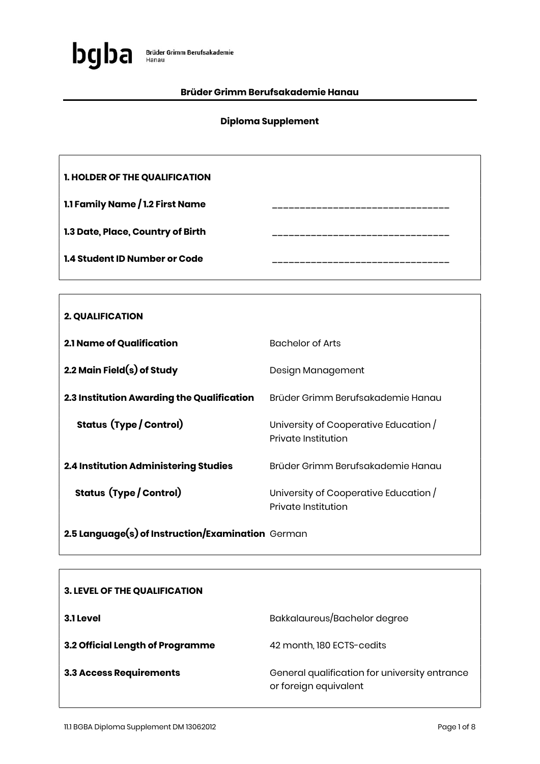

### Brüder Grimm Berufsakademie Hanau

## Diploma Supplement

| <b>1. HOLDER OF THE QUALIFICATION</b> |  |
|---------------------------------------|--|
| 1.1 Family Name / 1.2 First Name      |  |
| 1.3 Date, Place, Country of Birth     |  |
| 1.4 Student ID Number or Code         |  |

| <b>2. QUALIFICATION</b>                      |                                                              |
|----------------------------------------------|--------------------------------------------------------------|
| <b>2.1 Name of Qualification</b>             | <b>Bachelor of Arts</b>                                      |
| 2.2 Main Field $(s)$ of Study                | Design Management                                            |
| 2.3 Institution Awarding the Qualification   | Brüder Grimm Berufsakademie Hanau                            |
| <b>Status (Type / Control)</b>               | University of Cooperative Education /<br>Private Institution |
| <b>2.4 Institution Administering Studies</b> | Brüder Grimm Berufsakademie Hanau                            |
| <b>Status (Type / Control)</b>               | University of Cooperative Education /<br>Private Institution |

2.5 Language(s) of Instruction/Examination German

| <b>3. LEVEL OF THE QUALIFICATION</b> |                                                                        |
|--------------------------------------|------------------------------------------------------------------------|
| 3.1 Level                            | Bakkalaureus/Bachelor degree                                           |
| 3.2 Official Length of Programme     | 42 month, 180 ECTS-cedits                                              |
| <b>3.3 Access Requirements</b>       | General qualification for university entrance<br>or foreign equivalent |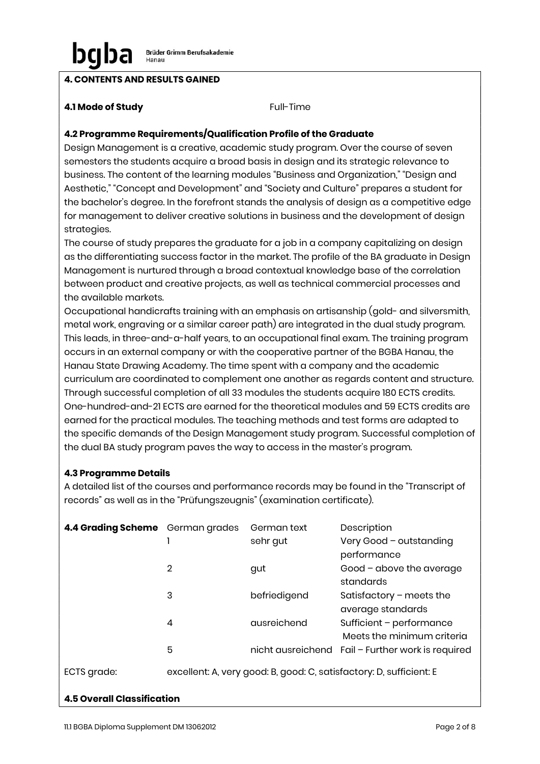## 4. CONTENTS AND RESULTS GAINED

### **4.1 Mode of Study Full-Time**

### 4.2 Programme Requirements/Qualification Profile of the Graduate

Design Management is a creative, academic study program. Over the course of seven semesters the students acquire a broad basis in design and its strategic relevance to business. The content of the learning modules "Business and Organization," "Design and Aesthetic," "Concept and Development" and "Society and Culture" prepares a student for the bachelor's degree. In the forefront stands the analysis of design as a competitive edge for management to deliver creative solutions in business and the development of design strategies.

The course of study prepares the graduate for a job in a company capitalizing on design as the differentiating success factor in the market. The profile of the BA graduate in Design Management is nurtured through a broad contextual knowledge base of the correlation between product and creative projects, as well as technical commercial processes and the available markets.

Occupational handicrafts training with an emphasis on artisanship (gold- and silversmith, metal work, engraving or a similar career path) are integrated in the dual study program. This leads, in three-and-a-half years, to an occupational final exam. The training program occurs in an external company or with the cooperative partner of the BGBA Hanau, the Hanau State Drawing Academy. The time spent with a company and the academic curriculum are coordinated to complement one another as regards content and structure. Through successful completion of all 33 modules the students acquire 180 ECTS credits. One-hundred-and-21 ECTS are earned for the theoretical modules and 59 ECTS credits are earned for the practical modules. The teaching methods and test forms are adapted to the specific demands of the Design Management study program. Successful completion of the dual BA study program paves the way to access in the master's program.

### 4.3 Programme Details

A detailed list of the courses and performance records may be found in the "Transcript of records" as well as in the "Prüfungszeugnis" (examination certificate).

| 4.4 Grading Scheme German grades |                | German text  | Description                                                         |
|----------------------------------|----------------|--------------|---------------------------------------------------------------------|
|                                  |                | sehr gut     | Very Good - outstanding                                             |
|                                  |                |              | performance                                                         |
|                                  | $\overline{2}$ | gut          | Good - above the average                                            |
|                                  |                |              | standards                                                           |
|                                  | 3              | befriedigend | Satisfactory $-$ meets the                                          |
|                                  |                |              | average standards                                                   |
|                                  | 4              | ausreichend  | Sufficient - performance                                            |
|                                  |                |              | Meets the minimum criteria                                          |
|                                  | 5              |              | nicht ausreichend Fail - Further work is required                   |
| ECTS grade:                      |                |              | excellent: A, very good: B, good: C, satisfactory: D, sufficient: E |

### 4.5 Overall Classification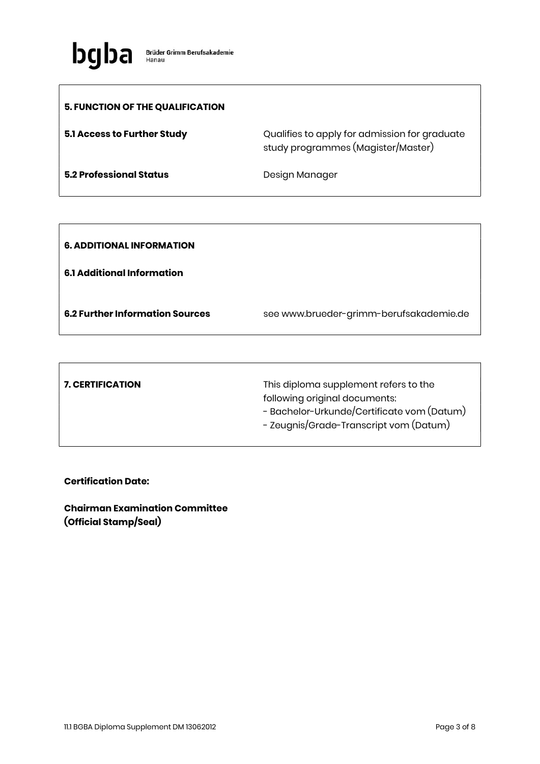

| 5. FUNCTION OF THE QUALIFICATION |                                                                                     |
|----------------------------------|-------------------------------------------------------------------------------------|
| 5.1 Access to Further Study      | Qualifies to apply for admission for graduate<br>study programmes (Magister/Master) |
| <b>5.2 Professional Status</b>   | Design Manager                                                                      |

| <b>6. ADDITIONAL INFORMATION</b>       |                                         |
|----------------------------------------|-----------------------------------------|
| <b>6.1 Additional Information</b>      |                                         |
| <b>6.2 Further Information Sources</b> | see www.brueder-grimm-berufsakademie.de |

| <b>7. CERTIFICATION</b> | This diploma supplement refers to the      |
|-------------------------|--------------------------------------------|
|                         | following original documents:              |
|                         | - Bachelor-Urkunde/Certificate vom (Datum) |
|                         | - Zeugnis/Grade-Transcript vom (Datum)     |
|                         |                                            |

Certification Date:

Chairman Examination Committee (Official Stamp/Seal)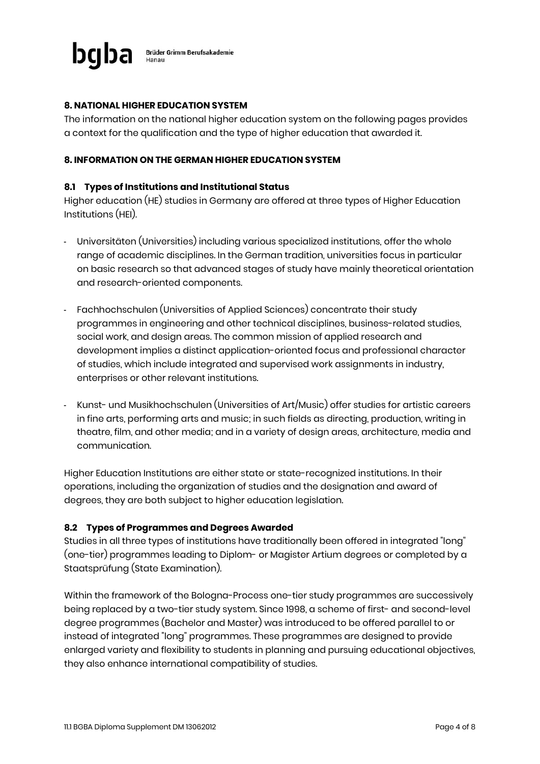

### 8. NATIONAL HIGHER EDUCATION SYSTEM

The information on the national higher education system on the following pages provides a context for the qualification and the type of higher education that awarded it.

#### 8. INFORMATION ON THE GERMAN HIGHER EDUCATION SYSTEM

#### 8.1 Types of Institutions and Institutional Status

Higher education (HE) studies in Germany are offered at three types of Higher Education Institutions (HEI).

- Universitäten (Universities) including various specialized institutions, offer the whole range of academic disciplines. In the German tradition, universities focus in particular on basic research so that advanced stages of study have mainly theoretical orientation and research-oriented components.
- Fachhochschulen (Universities of Applied Sciences) concentrate their study programmes in engineering and other technical disciplines, business-related studies, social work, and design areas. The common mission of applied research and development implies a distinct application-oriented focus and professional character of studies, which include integrated and supervised work assignments in industry, enterprises or other relevant institutions.
- Kunst- und Musikhochschulen (Universities of Art/Music) offer studies for artistic careers in fine arts, performing arts and music; in such fields as directing, production, writing in theatre, film, and other media; and in a variety of design areas, architecture, media and communication.

Higher Education Institutions are either state or state-recognized institutions. In their operations, including the organization of studies and the designation and award of degrees, they are both subject to higher education legislation.

#### 8.2 Types of Programmes and Degrees Awarded

Studies in all three types of institutions have traditionally been offered in integrated "long" (one-tier) programmes leading to Diplom- or Magister Artium degrees or completed by a Staatsprüfung (State Examination).

Within the framework of the Bologna-Process one-tier study programmes are successively being replaced by a two-tier study system. Since 1998, a scheme of first- and second-level degree programmes (Bachelor and Master) was introduced to be offered parallel to or instead of integrated "long" programmes. These programmes are designed to provide enlarged variety and flexibility to students in planning and pursuing educational objectives, they also enhance international compatibility of studies.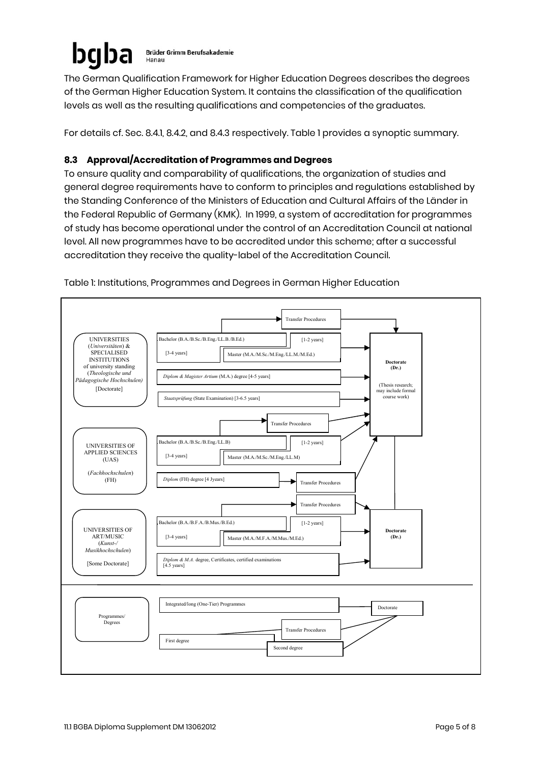#### bgl **Brüder Grimm Berufsakademie** Hanau

The German Qualification Framework for Higher Education Degrees describes the degrees of the German Higher Education System. It contains the classification of the qualification levels as well as the resulting qualifications and competencies of the graduates.

For details cf. Sec. 8.4.1, 8.4.2, and 8.4.3 respectively. Table 1 provides a synoptic summary.

# 8.3 Approval/Accreditation of Programmes and Degrees

To ensure quality and comparability of qualifications, the organization of studies and general degree requirements have to conform to principles and regulations established by the Standing Conference of the Ministers of Education and Cultural Affairs of the Länder in the Federal Republic of Germany (KMK). In 1999, a system of accreditation for programmes of study has become operational under the control of an Accreditation Council at national level. All new programmes have to be accredited under this scheme; after a successful accreditation they receive the quality-label of the Accreditation Council.



Table 1: Institutions, Programmes and Degrees in German Higher Education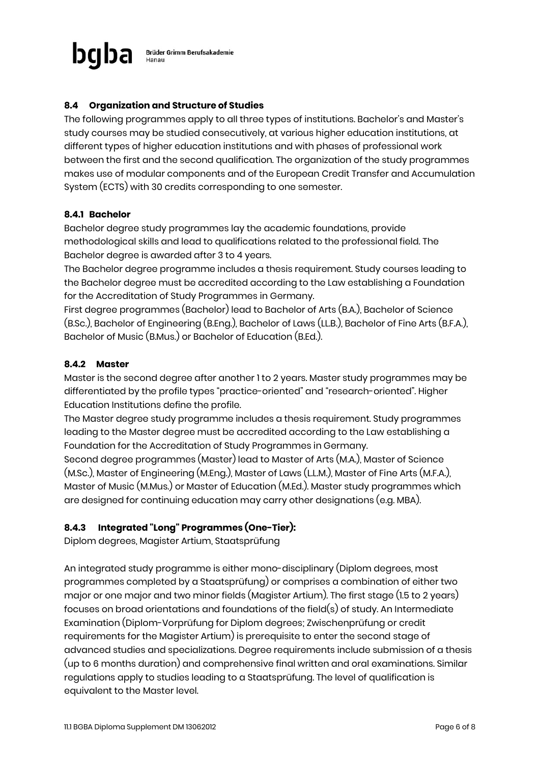

## 8.4 Organization and Structure of Studies

The following programmes apply to all three types of institutions. Bachelor's and Master's study courses may be studied consecutively, at various higher education institutions, at different types of higher education institutions and with phases of professional work between the first and the second qualification. The organization of the study programmes makes use of modular components and of the European Credit Transfer and Accumulation System (ECTS) with 30 credits corresponding to one semester.

#### 8.4.1 Bachelor

Bachelor degree study programmes lay the academic foundations, provide methodological skills and lead to qualifications related to the professional field. The Bachelor degree is awarded after 3 to 4 years.

The Bachelor degree programme includes a thesis requirement. Study courses leading to the Bachelor degree must be accredited according to the Law establishing a Foundation for the Accreditation of Study Programmes in Germany.

First degree programmes (Bachelor) lead to Bachelor of Arts (B.A.), Bachelor of Science (B.Sc.), Bachelor of Engineering (B.Eng.), Bachelor of Laws (LL.B.), Bachelor of Fine Arts (B.F.A.), Bachelor of Music (B.Mus.) or Bachelor of Education (B.Ed.).

#### 8.4.2 Master

Master is the second degree after another 1 to 2 years. Master study programmes may be differentiated by the profile types "practice-oriented" and "research-oriented". Higher Education Institutions define the profile.

The Master degree study programme includes a thesis requirement. Study programmes leading to the Master degree must be accredited according to the Law establishing a Foundation for the Accreditation of Study Programmes in Germany.

Second degree programmes (Master) lead to Master of Arts (M.A.), Master of Science (M.Sc.), Master of Engineering (M.Eng.), Master of Laws (L.L.M.), Master of Fine Arts (M.F.A.), Master of Music (M.Mus.) or Master of Education (M.Ed.). Master study programmes which are designed for continuing education may carry other designations (e.g. MBA).

### 8.4.3 Integrated "Long" Programmes (One-Tier):

Diplom degrees, Magister Artium, Staatsprüfung

An integrated study programme is either mono-disciplinary (Diplom degrees, most programmes completed by a Staatsprüfung) or comprises a combination of either two major or one major and two minor fields (Magister Artium). The first stage (1.5 to 2 years) focuses on broad orientations and foundations of the field(s) of study. An Intermediate Examination (Diplom-Vorprüfung for Diplom degrees; Zwischenprüfung or credit requirements for the Magister Artium) is prerequisite to enter the second stage of advanced studies and specializations. Degree requirements include submission of a thesis (up to 6 months duration) and comprehensive final written and oral examinations. Similar regulations apply to studies leading to a Staatsprüfung. The level of qualification is equivalent to the Master level.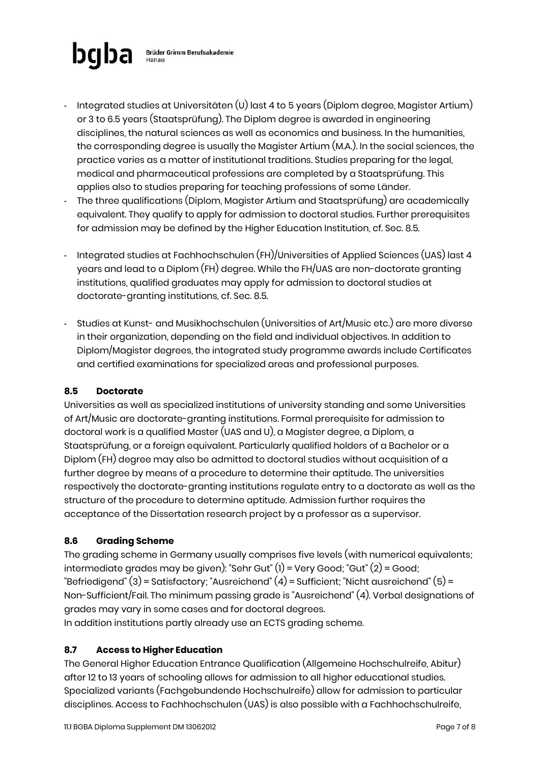

- Integrated studies at Universitäten (U) last 4 to 5 years (Diplom degree, Magister Artium) or 3 to 6.5 years (Staatsprüfung). The Diplom degree is awarded in engineering disciplines, the natural sciences as well as economics and business. In the humanities, the corresponding degree is usually the Magister Artium (M.A.). In the social sciences, the practice varies as a matter of institutional traditions. Studies preparing for the legal, medical and pharmaceutical professions are completed by a Staatsprüfung. This applies also to studies preparing for teaching professions of some Länder.
- The three qualifications (Diplom, Magister Artium and Staatsprüfung) are academically equivalent. They qualify to apply for admission to doctoral studies. Further prerequisites for admission may be defined by the Higher Education Institution, cf. Sec. 8.5.
- Integrated studies at Fachhochschulen (FH)/Universities of Applied Sciences (UAS) last 4 years and lead to a Diplom (FH) degree. While the FH/UAS are non-doctorate granting institutions, qualified graduates may apply for admission to doctoral studies at doctorate-granting institutions, cf. Sec. 8.5.
- Studies at Kunst- and Musikhochschulen (Universities of Art/Music etc.) are more diverse in their organization, depending on the field and individual objectives. In addition to Diplom/Magister degrees, the integrated study programme awards include Certificates and certified examinations for specialized areas and professional purposes.

## 8.5 Doctorate

Universities as well as specialized institutions of university standing and some Universities of Art/Music are doctorate-granting institutions. Formal prerequisite for admission to doctoral work is a qualified Master (UAS and U), a Magister degree, a Diplom, a Staatsprüfung, or a foreign equivalent. Particularly qualified holders of a Bachelor or a Diplom (FH) degree may also be admitted to doctoral studies without acquisition of a further degree by means of a procedure to determine their aptitude. The universities respectively the doctorate-granting institutions regulate entry to a doctorate as well as the structure of the procedure to determine aptitude. Admission further requires the acceptance of the Dissertation research project by a professor as a supervisor.

## 8.6 Grading Scheme

The grading scheme in Germany usually comprises five levels (with numerical equivalents; intermediate grades may be given): "Sehr Gut" (1) = Very Good; "Gut" (2) = Good; "Befriedigend" (3) = Satisfactory; "Ausreichend" (4) = Sufficient; "Nicht ausreichend" (5) = Non-Sufficient/Fail. The minimum passing grade is "Ausreichend" (4). Verbal designations of grades may vary in some cases and for doctoral degrees.

In addition institutions partly already use an ECTS grading scheme.

## 8.7 Access to Higher Education

The General Higher Education Entrance Qualification (Allgemeine Hochschulreife, Abitur) after 12 to 13 years of schooling allows for admission to all higher educational studies. Specialized variants (Fachgebundende Hochschulreife) allow for admission to particular disciplines. Access to Fachhochschulen (UAS) is also possible with a Fachhochschulreife,